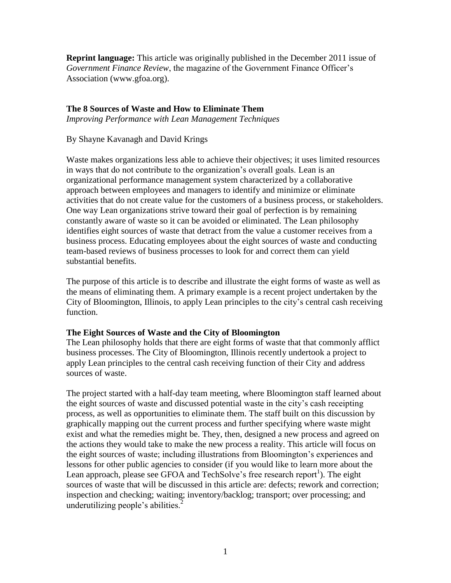**Reprint language:** This article was originally published in the December 2011 issue of *Government Finance Review*, the magazine of the Government Finance Officer's Association (www.gfoa.org).

#### **The 8 Sources of Waste and How to Eliminate Them**

*Improving Performance with Lean Management Techniques*

## By Shayne Kavanagh and David Krings

Waste makes organizations less able to achieve their objectives; it uses limited resources in ways that do not contribute to the organization's overall goals. Lean is an organizational performance management system characterized by a collaborative approach between employees and managers to identify and minimize or eliminate activities that do not create value for the customers of a business process, or stakeholders. One way Lean organizations strive toward their goal of perfection is by remaining constantly aware of waste so it can be avoided or eliminated. The Lean philosophy identifies eight sources of waste that detract from the value a customer receives from a business process. Educating employees about the eight sources of waste and conducting team-based reviews of business processes to look for and correct them can yield substantial benefits.

The purpose of this article is to describe and illustrate the eight forms of waste as well as the means of eliminating them. A primary example is a recent project undertaken by the City of Bloomington, Illinois, to apply Lean principles to the city's central cash receiving function.

# **The Eight Sources of Waste and the City of Bloomington**

The Lean philosophy holds that there are eight forms of waste that that commonly afflict business processes. The City of Bloomington, Illinois recently undertook a project to apply Lean principles to the central cash receiving function of their City and address sources of waste.

The project started with a half-day team meeting, where Bloomington staff learned about the eight sources of waste and discussed potential waste in the city's cash receipting process, as well as opportunities to eliminate them. The staff built on this discussion by graphically mapping out the current process and further specifying where waste might exist and what the remedies might be. They, then, designed a new process and agreed on the actions they would take to make the new process a reality. This article will focus on the eight sources of waste; including illustrations from Bloomington's experiences and lessons for other public agencies to consider (if you would like to learn more about the Lean approach, please see GFOA and TechSolve's free research report<sup>1</sup>). The eight sources of waste that will be discussed in this article are: defects; rework and correction; inspection and checking; waiting; inventory/backlog; transport; over processing; and underutilizing people's abilities. $<sup>2</sup>$ </sup>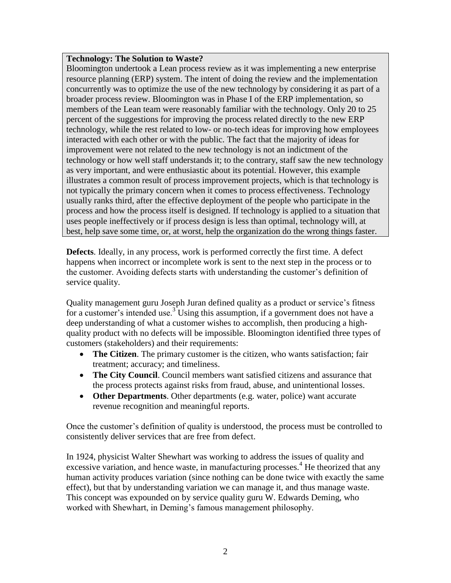## **Technology: The Solution to Waste?**

Bloomington undertook a Lean process review as it was implementing a new enterprise resource planning (ERP) system. The intent of doing the review and the implementation concurrently was to optimize the use of the new technology by considering it as part of a broader process review. Bloomington was in Phase I of the ERP implementation, so members of the Lean team were reasonably familiar with the technology. Only 20 to 25 percent of the suggestions for improving the process related directly to the new ERP technology, while the rest related to low- or no-tech ideas for improving how employees interacted with each other or with the public. The fact that the majority of ideas for improvement were not related to the new technology is not an indictment of the technology or how well staff understands it; to the contrary, staff saw the new technology as very important, and were enthusiastic about its potential. However, this example illustrates a common result of process improvement projects, which is that technology is not typically the primary concern when it comes to process effectiveness. Technology usually ranks third, after the effective deployment of the people who participate in the process and how the process itself is designed. If technology is applied to a situation that uses people ineffectively or if process design is less than optimal, technology will, at best, help save some time, or, at worst, help the organization do the wrong things faster.

**Defects**. Ideally, in any process, work is performed correctly the first time. A defect happens when incorrect or incomplete work is sent to the next step in the process or to the customer. Avoiding defects starts with understanding the customer's definition of service quality.

Quality management guru Joseph Juran defined quality as a product or service's fitness for a customer's intended use.<sup>3</sup> Using this assumption, if a government does not have a deep understanding of what a customer wishes to accomplish, then producing a highquality product with no defects will be impossible. Bloomington identified three types of customers (stakeholders) and their requirements:

- **The Citizen**. The primary customer is the citizen, who wants satisfaction; fair treatment; accuracy; and timeliness.
- **The City Council**. Council members want satisfied citizens and assurance that the process protects against risks from fraud, abuse, and unintentional losses.
- **Other Departments**. Other departments (e.g. water, police) want accurate revenue recognition and meaningful reports.

Once the customer's definition of quality is understood, the process must be controlled to consistently deliver services that are free from defect.

In 1924, physicist Walter Shewhart was working to address the issues of quality and excessive variation, and hence waste, in manufacturing processes.<sup>4</sup> He theorized that any human activity produces variation (since nothing can be done twice with exactly the same effect), but that by understanding variation we can manage it, and thus manage waste. This concept was expounded on by service quality guru W. Edwards Deming, who worked with Shewhart, in Deming's famous management philosophy.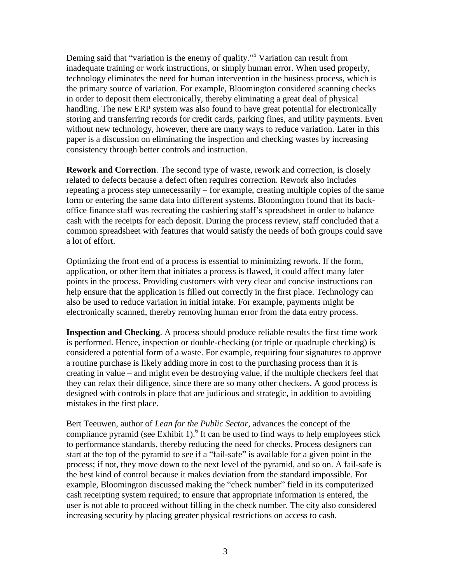Deming said that "variation is the enemy of quality."<sup>5</sup> Variation can result from inadequate training or work instructions, or simply human error. When used properly, technology eliminates the need for human intervention in the business process, which is the primary source of variation. For example, Bloomington considered scanning checks in order to deposit them electronically, thereby eliminating a great deal of physical handling. The new ERP system was also found to have great potential for electronically storing and transferring records for credit cards, parking fines, and utility payments. Even without new technology, however, there are many ways to reduce variation. Later in this paper is a discussion on eliminating the inspection and checking wastes by increasing consistency through better controls and instruction.

**Rework and Correction**. The second type of waste, rework and correction, is closely related to defects because a defect often requires correction. Rework also includes repeating a process step unnecessarily – for example, creating multiple copies of the same form or entering the same data into different systems. Bloomington found that its backoffice finance staff was recreating the cashiering staff's spreadsheet in order to balance cash with the receipts for each deposit. During the process review, staff concluded that a common spreadsheet with features that would satisfy the needs of both groups could save a lot of effort.

Optimizing the front end of a process is essential to minimizing rework. If the form, application, or other item that initiates a process is flawed, it could affect many later points in the process. Providing customers with very clear and concise instructions can help ensure that the application is filled out correctly in the first place. Technology can also be used to reduce variation in initial intake. For example, payments might be electronically scanned, thereby removing human error from the data entry process.

**Inspection and Checking**. A process should produce reliable results the first time work is performed. Hence, inspection or double-checking (or triple or quadruple checking) is considered a potential form of a waste. For example, requiring four signatures to approve a routine purchase is likely adding more in cost to the purchasing process than it is creating in value – and might even be destroying value, if the multiple checkers feel that they can relax their diligence, since there are so many other checkers. A good process is designed with controls in place that are judicious and strategic, in addition to avoiding mistakes in the first place.

Bert Teeuwen, author of *Lean for the Public Sector*, advances the concept of the compliance pyramid (see Exhibit 1).<sup>6</sup> It can be used to find ways to help employees stick to performance standards, thereby reducing the need for checks. Process designers can start at the top of the pyramid to see if a "fail-safe" is available for a given point in the process; if not, they move down to the next level of the pyramid, and so on. A fail-safe is the best kind of control because it makes deviation from the standard impossible. For example, Bloomington discussed making the "check number" field in its computerized cash receipting system required; to ensure that appropriate information is entered, the user is not able to proceed without filling in the check number. The city also considered increasing security by placing greater physical restrictions on access to cash.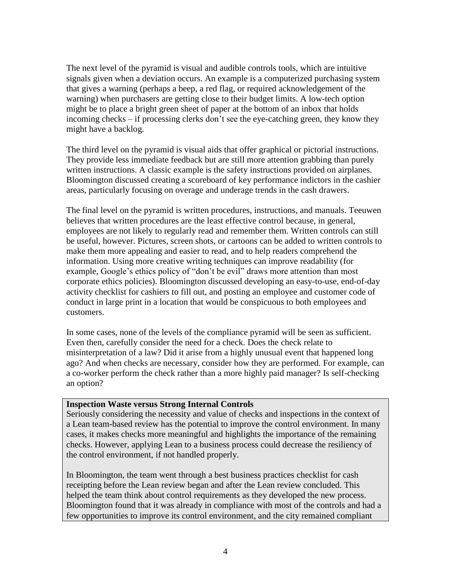The next level of the pyramid is visual and audible controls tools, which are intuitive signals given when a deviation occurs. An example is a computerized purchasing system that gives a warning (perhaps a beep, a red flag, or required acknowledgement of the warning) when purchasers are getting close to their budget limits. A low-tech option might be to place a bright green sheet of paper at the bottom of an inbox that holds incoming checks – if processing clerks don't see the eye-catching green, they know they might have a backlog.

The third level on the pyramid is visual aids that offer graphical or pictorial instructions. They provide less immediate feedback but are still more attention grabbing than purely written instructions. A classic example is the safety instructions provided on airplanes. Bloomington discussed creating a scoreboard of key performance indictors in the cashier areas, particularly focusing on overage and underage trends in the cash drawers.

The final level on the pyramid is written procedures, instructions, and manuals. Teeuwen believes that written procedures are the least effective control because, in general, employees are not likely to regularly read and remember them. Written controls can still be useful, however. Pictures, screen shots, or cartoons can be added to written controls to make them more appealing and easier to read, and to help readers comprehend the information. Using more creative writing techniques can improve readability (for example, Google's ethics policy of "don't be evil" draws more attention than most corporate ethics policies). Bloomington discussed developing an easy-to-use, end-of-day activity checklist for cashiers to fill out, and posting an employee and customer code of conduct in large print in a location that would be conspicuous to both employees and customers.

In some cases, none of the levels of the compliance pyramid will be seen as sufficient. Even then, carefully consider the need for a check. Does the check relate to misinterpretation of a law? Did it arise from a highly unusual event that happened long ago? And when checks are necessary, consider how they are performed. For example, can a co-worker perform the check rather than a more highly paid manager? Is self-checking an option?

#### **Inspection Waste versus Strong Internal Controls**

Seriously considering the necessity and value of checks and inspections in the context of a Lean team-based review has the potential to improve the control environment. In many cases, it makes checks more meaningful and highlights the importance of the remaining checks. However, applying Lean to a business process could decrease the resiliency of the control environment, if not handled properly.

In Bloomington, the team went through a best business practices checklist for cash receipting before the Lean review began and after the Lean review concluded. This helped the team think about control requirements as they developed the new process. Bloomington found that it was already in compliance with most of the controls and had a few opportunities to improve its control environment, and the city remained compliant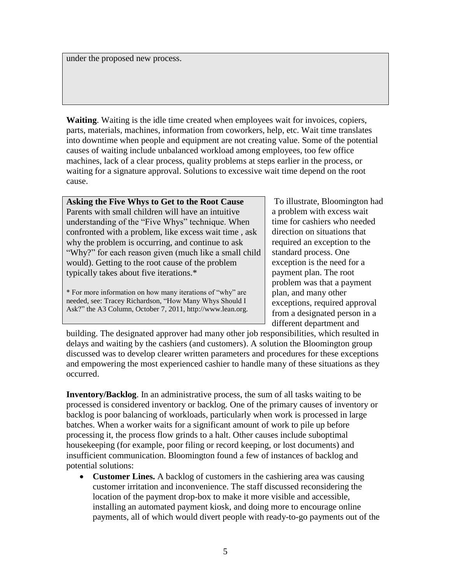under the proposed new process.

**Waiting**. Waiting is the idle time created when employees wait for invoices, copiers, parts, materials, machines, information from coworkers, help, etc. Wait time translates into downtime when people and equipment are not creating value. Some of the potential causes of waiting include unbalanced workload among employees, too few office machines, lack of a clear process, quality problems at steps earlier in the process, or waiting for a signature approval. Solutions to excessive wait time depend on the root cause.

**Asking the Five Whys to Get to the Root Cause** Parents with small children will have an intuitive understanding of the "Five Whys" technique. When confronted with a problem, like excess wait time , ask why the problem is occurring, and continue to ask "Why?" for each reason given (much like a small child would). Getting to the root cause of the problem typically takes about five iterations.\*

\* For more information on how many iterations of "why" are needed, see: Tracey Richardson, "How Many Whys Should I Ask?" the A3 Column, October 7, 2011, http://www.lean.org.

To illustrate, Bloomington had a problem with excess wait time for cashiers who needed direction on situations that required an exception to the standard process. One exception is the need for a payment plan. The root problem was that a payment plan, and many other exceptions, required approval from a designated person in a different department and

building. The designated approver had many other job responsibilities, which resulted in delays and waiting by the cashiers (and customers). A solution the Bloomington group discussed was to develop clearer written parameters and procedures for these exceptions and empowering the most experienced cashier to handle many of these situations as they occurred.

**Inventory/Backlog**. In an administrative process, the sum of all tasks waiting to be processed is considered inventory or backlog. One of the primary causes of inventory or backlog is poor balancing of workloads, particularly when work is processed in large batches. When a worker waits for a significant amount of work to pile up before processing it, the process flow grinds to a halt. Other causes include suboptimal housekeeping (for example, poor filing or record keeping, or lost documents) and insufficient communication. Bloomington found a few of instances of backlog and potential solutions:

 **Customer Lines.** A backlog of customers in the cashiering area was causing customer irritation and inconvenience. The staff discussed reconsidering the location of the payment drop-box to make it more visible and accessible, installing an automated payment kiosk, and doing more to encourage online payments, all of which would divert people with ready-to-go payments out of the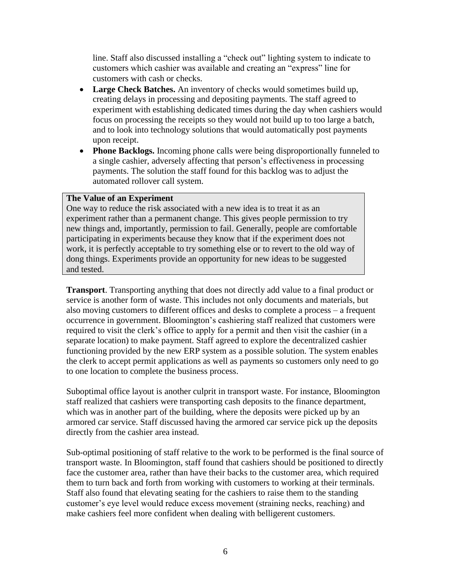line. Staff also discussed installing a "check out" lighting system to indicate to customers which cashier was available and creating an "express" line for customers with cash or checks.

- **Large Check Batches.** An inventory of checks would sometimes build up, creating delays in processing and depositing payments. The staff agreed to experiment with establishing dedicated times during the day when cashiers would focus on processing the receipts so they would not build up to too large a batch, and to look into technology solutions that would automatically post payments upon receipt.
- **Phone Backlogs.** Incoming phone calls were being disproportionally funneled to a single cashier, adversely affecting that person's effectiveness in processing payments. The solution the staff found for this backlog was to adjust the automated rollover call system.

#### **The Value of an Experiment**

One way to reduce the risk associated with a new idea is to treat it as an experiment rather than a permanent change. This gives people permission to try new things and, importantly, permission to fail. Generally, people are comfortable participating in experiments because they know that if the experiment does not work, it is perfectly acceptable to try something else or to revert to the old way of dong things. Experiments provide an opportunity for new ideas to be suggested and tested.

**Transport**. Transporting anything that does not directly add value to a final product or service is another form of waste. This includes not only documents and materials, but also moving customers to different offices and desks to complete a process – a frequent occurrence in government. Bloomington's cashiering staff realized that customers were required to visit the clerk's office to apply for a permit and then visit the cashier (in a separate location) to make payment. Staff agreed to explore the decentralized cashier functioning provided by the new ERP system as a possible solution. The system enables the clerk to accept permit applications as well as payments so customers only need to go to one location to complete the business process.

Suboptimal office layout is another culprit in transport waste. For instance, Bloomington staff realized that cashiers were transporting cash deposits to the finance department, which was in another part of the building, where the deposits were picked up by an armored car service. Staff discussed having the armored car service pick up the deposits directly from the cashier area instead.

Sub-optimal positioning of staff relative to the work to be performed is the final source of transport waste. In Bloomington, staff found that cashiers should be positioned to directly face the customer area, rather than have their backs to the customer area, which required them to turn back and forth from working with customers to working at their terminals. Staff also found that elevating seating for the cashiers to raise them to the standing customer's eye level would reduce excess movement (straining necks, reaching) and make cashiers feel more confident when dealing with belligerent customers.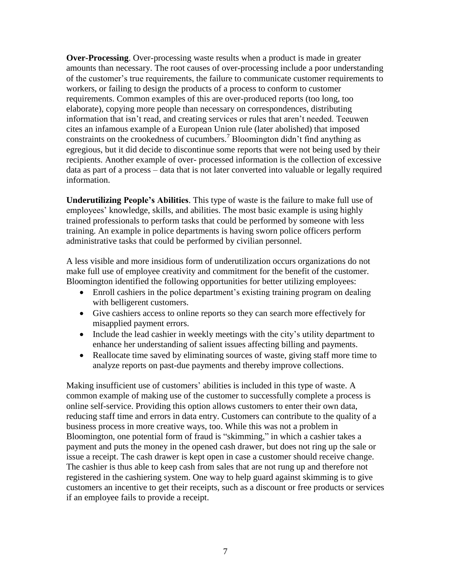**Over-Processing**. Over-processing waste results when a product is made in greater amounts than necessary. The root causes of over-processing include a poor understanding of the customer's true requirements, the failure to communicate customer requirements to workers, or failing to design the products of a process to conform to customer requirements. Common examples of this are over-produced reports (too long, too elaborate), copying more people than necessary on correspondences, distributing information that isn't read, and creating services or rules that aren't needed. Teeuwen cites an infamous example of a European Union rule (later abolished) that imposed constraints on the crookedness of cucumbers.<sup>7</sup> Bloomington didn't find anything as egregious, but it did decide to discontinue some reports that were not being used by their recipients. Another example of over- processed information is the collection of excessive data as part of a process – data that is not later converted into valuable or legally required information.

**Underutilizing People's Abilities**. This type of waste is the failure to make full use of employees' knowledge, skills, and abilities. The most basic example is using highly trained professionals to perform tasks that could be performed by someone with less training. An example in police departments is having sworn police officers perform administrative tasks that could be performed by civilian personnel.

A less visible and more insidious form of underutilization occurs organizations do not make full use of employee creativity and commitment for the benefit of the customer. Bloomington identified the following opportunities for better utilizing employees:

- Enroll cashiers in the police department's existing training program on dealing with belligerent customers.
- Give cashiers access to online reports so they can search more effectively for misapplied payment errors.
- Include the lead cashier in weekly meetings with the city's utility department to enhance her understanding of salient issues affecting billing and payments.
- Reallocate time saved by eliminating sources of waste, giving staff more time to analyze reports on past-due payments and thereby improve collections.

Making insufficient use of customers' abilities is included in this type of waste. A common example of making use of the customer to successfully complete a process is online self-service. Providing this option allows customers to enter their own data, reducing staff time and errors in data entry. Customers can contribute to the quality of a business process in more creative ways, too. While this was not a problem in Bloomington, one potential form of fraud is "skimming," in which a cashier takes a payment and puts the money in the opened cash drawer, but does not ring up the sale or issue a receipt. The cash drawer is kept open in case a customer should receive change. The cashier is thus able to keep cash from sales that are not rung up and therefore not registered in the cashiering system. One way to help guard against skimming is to give customers an incentive to get their receipts, such as a discount or free products or services if an employee fails to provide a receipt.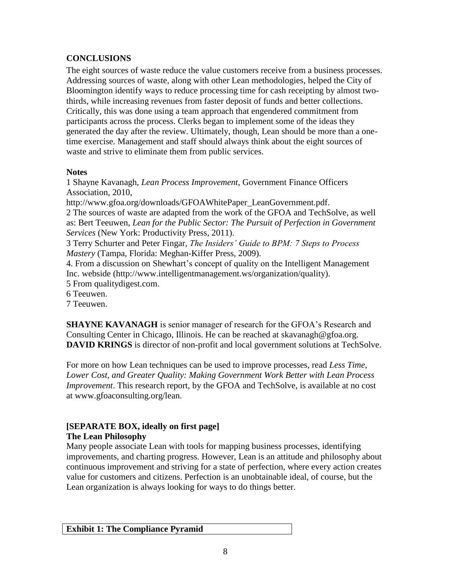# **CONCLUSIONS**

The eight sources of waste reduce the value customers receive from a business processes. Addressing sources of waste, along with other Lean methodologies, helped the City of Bloomington identify ways to reduce processing time for cash receipting by almost twothirds, while increasing revenues from faster deposit of funds and better collections. Critically, this was done using a team approach that engendered commitment from participants across the process. Clerks began to implement some of the ideas they generated the day after the review. Ultimately, though, Lean should be more than a onetime exercise. Management and staff should always think about the eight sources of waste and strive to eliminate them from public services.

## **Notes**

1 Shayne Kavanagh, *Lean Process Improvement*, Government Finance Officers Association, 2010,

http://www.gfoa.org/downloads/GFOAWhitePaper\_LeanGovernment.pdf.

2 The sources of waste are adapted from the work of the GFOA and TechSolve, as well as: Bert Teeuwen, *Lean for the Public Sector: The Pursuit of Perfection in Government Services* (New York: Productivity Press, 2011).

3 Terry Schurter and Peter Fingar, *The Insiders' Guide to BPM: 7 Steps to Process Mastery* (Tampa, Florida: Meghan-Kiffer Press, 2009).

4. From a discussion on Shewhart's concept of quality on the Intelligent Management Inc. webside (http://www.intelligentmanagement.ws/organization/quality).

5 From qualitydigest.com.

6 Teeuwen.

7 Teeuwen.

**SHAYNE KAVANAGH** is senior manager of research for the GFOA's Research and Consulting Center in Chicago, Illinois. He can be reached at skavanagh@gfoa.org. **DAVID KRINGS** is director of non-profit and local government solutions at TechSolve.

For more on how Lean techniques can be used to improve processes, read *Less Time, Lower Cost, and Greater Quality: Making Government Work Better with Lean Process Improvement*. This research report, by the GFOA and TechSolve, is available at no cost at www.gfoaconsulting.org/lean.

## **[SEPARATE BOX, ideally on first page] The Lean Philosophy**

Many people associate Lean with tools for mapping business processes, identifying improvements, and charting progress. However, Lean is an attitude and philosophy about continuous improvement and striving for a state of perfection, where every action creates value for customers and citizens. Perfection is an unobtainable ideal, of course, but the Lean organization is always looking for ways to do things better.

**Exhibit 1: The Compliance Pyramid**